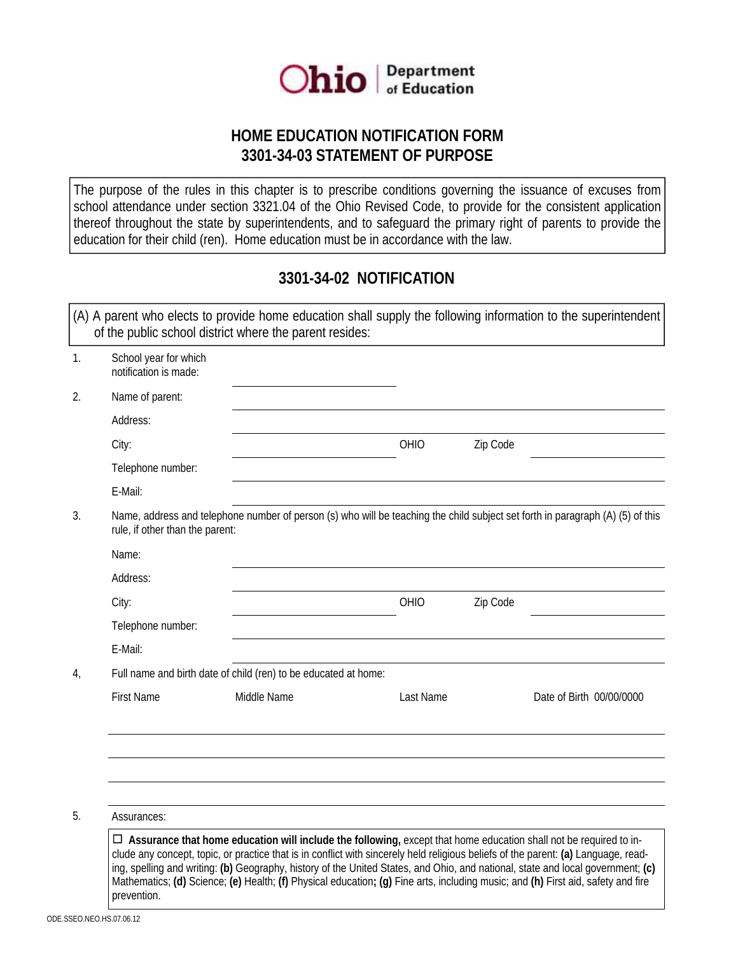

## **HOME EDUCATION NOTIFICATION FORM 3301-34-0**3 **STATEMENT OF PURPOSE**

The purpose of the rules in this chapter is to prescribe conditions governing the issuance of excuses from school attendance under section 3321.04 of the Ohio Revised Code, to provide for the consistent application thereof throughout the state by superintendents, and to safeguard the primary right of parents to provide the education for their child (ren). Home education must be in accordance with the law.

## **3301-34-02 NOTIFICATION**

| 1. | School year for which<br>notification is made:                                                                                                                    |                                                                 |           |          |                          |
|----|-------------------------------------------------------------------------------------------------------------------------------------------------------------------|-----------------------------------------------------------------|-----------|----------|--------------------------|
| 2. | Name of parent:                                                                                                                                                   |                                                                 |           |          |                          |
|    | Address:                                                                                                                                                          |                                                                 |           |          |                          |
|    | City:                                                                                                                                                             |                                                                 | OHIO      | Zip Code |                          |
|    | Telephone number:                                                                                                                                                 |                                                                 |           |          |                          |
|    | E-Mail:                                                                                                                                                           |                                                                 |           |          |                          |
| 3. | Name, address and telephone number of person (s) who will be teaching the child subject set forth in paragraph (A) (5) of this<br>rule, if other than the parent: |                                                                 |           |          |                          |
|    |                                                                                                                                                                   |                                                                 |           |          |                          |
|    | Name:                                                                                                                                                             |                                                                 |           |          |                          |
|    | Address:                                                                                                                                                          |                                                                 |           |          |                          |
|    | City:                                                                                                                                                             |                                                                 | OHIO      | Zip Code |                          |
|    | Telephone number:                                                                                                                                                 |                                                                 |           |          |                          |
|    | E-Mail:                                                                                                                                                           |                                                                 |           |          |                          |
| 4, |                                                                                                                                                                   | Full name and birth date of child (ren) to be educated at home: |           |          |                          |
|    | <b>First Name</b>                                                                                                                                                 | Middle Name                                                     | Last Name |          | Date of Birth 00/00/0000 |
|    |                                                                                                                                                                   |                                                                 |           |          |                          |
|    |                                                                                                                                                                   |                                                                 |           |          |                          |
|    |                                                                                                                                                                   |                                                                 |           |          |                          |

D **Assurance that home education will include the following,** except that home education shall not be required to include any concept, topic, or practice that is in conflict with sincerely held religious beliefs of the parent: **(a)** Language, reading, spelling and writing: **(b)** Geography, history of the United States, and Ohio, and national, state and local government; **(c)**  Mathematics; **(d)** Science; **(e)** Health; **(f)** Physical education**; (g)** Fine arts, including music; and **(h)** First aid, safety and fire prevention.